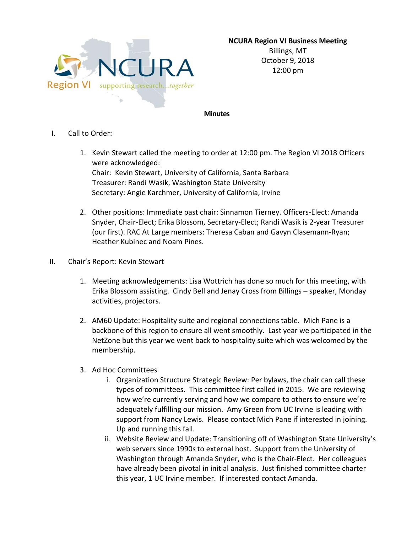**NCURA Region VI Business Meeting**



Billings, MT October 9, 2018 12:00 pm

## **Minutes**

- I. Call to Order:
	- 1. Kevin Stewart called the meeting to order at 12:00 pm. The Region VI 2018 Officers were acknowledged: Chair: Kevin Stewart, University of California, Santa Barbara Treasurer: Randi Wasik, Washington State University Secretary: Angie Karchmer, University of California, Irvine
	- 2. Other positions: Immediate past chair: Sinnamon Tierney. Officers-Elect: Amanda Snyder, Chair-Elect; Erika Blossom, Secretary-Elect; Randi Wasik is 2-year Treasurer (our first). RAC At Large members: Theresa Caban and Gavyn Clasemann-Ryan; Heather Kubinec and Noam Pines.
- II. Chair's Report: Kevin Stewart
	- 1. Meeting acknowledgements: Lisa Wottrich has done so much for this meeting, with Erika Blossom assisting. Cindy Bell and Jenay Cross from Billings – speaker, Monday activities, projectors.
	- 2. AM60 Update: Hospitality suite and regional connections table. Mich Pane is a backbone of this region to ensure all went smoothly. Last year we participated in the NetZone but this year we went back to hospitality suite which was welcomed by the membership.
	- 3. Ad Hoc Committees
		- i. Organization Structure Strategic Review: Per bylaws, the chair can call these types of committees. This committee first called in 2015. We are reviewing how we're currently serving and how we compare to others to ensure we're adequately fulfilling our mission. Amy Green from UC Irvine is leading with support from Nancy Lewis. Please contact Mich Pane if interested in joining. Up and running this fall.
		- ii. Website Review and Update: Transitioning off of Washington State University's web servers since 1990s to external host. Support from the University of Washington through Amanda Snyder, who is the Chair-Elect. Her colleagues have already been pivotal in initial analysis. Just finished committee charter this year, 1 UC Irvine member. If interested contact Amanda.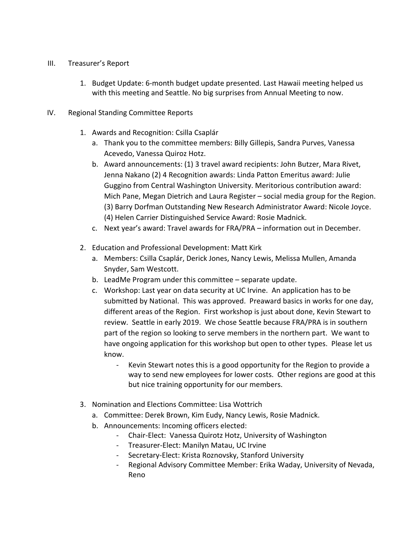## III. Treasurer's Report

1. Budget Update: 6-month budget update presented. Last Hawaii meeting helped us with this meeting and Seattle. No big surprises from Annual Meeting to now.

## IV. Regional Standing Committee Reports

- 1. Awards and Recognition: Csilla Csaplár
	- a. Thank you to the committee members: Billy Gillepis, Sandra Purves, Vanessa Acevedo, Vanessa Quiroz Hotz.
	- b. Award announcements: (1) 3 travel award recipients: John Butzer, Mara Rivet, Jenna Nakano (2) 4 Recognition awards: Linda Patton Emeritus award: Julie Guggino from Central Washington University. Meritorious contribution award: Mich Pane, Megan Dietrich and Laura Register – social media group for the Region. (3) Barry Dorfman Outstanding New Research Administrator Award: Nicole Joyce. (4) Helen Carrier Distinguished Service Award: Rosie Madnick.
	- c. Next year's award: Travel awards for FRA/PRA information out in December.
- 2. Education and Professional Development: Matt Kirk
	- a. Members: Csilla Csaplár, Derick Jones, Nancy Lewis, Melissa Mullen, Amanda Snyder, Sam Westcott.
	- b. LeadMe Program under this committee separate update.
	- c. Workshop: Last year on data security at UC Irvine. An application has to be submitted by National. This was approved. Preaward basics in works for one day, different areas of the Region. First workshop is just about done, Kevin Stewart to review. Seattle in early 2019. We chose Seattle because FRA/PRA is in southern part of the region so looking to serve members in the northern part. We want to have ongoing application for this workshop but open to other types. Please let us know.
		- Kevin Stewart notes this is a good opportunity for the Region to provide a way to send new employees for lower costs. Other regions are good at this but nice training opportunity for our members.
- 3. Nomination and Elections Committee: Lisa Wottrich
	- a. Committee: Derek Brown, Kim Eudy, Nancy Lewis, Rosie Madnick.
	- b. Announcements: Incoming officers elected:
		- Chair-Elect: Vanessa Quirotz Hotz, University of Washington
		- Treasurer-Elect: Manilyn Matau, UC Irvine
		- Secretary-Elect: Krista Roznovsky, Stanford University
		- Regional Advisory Committee Member: Erika Waday, University of Nevada, Reno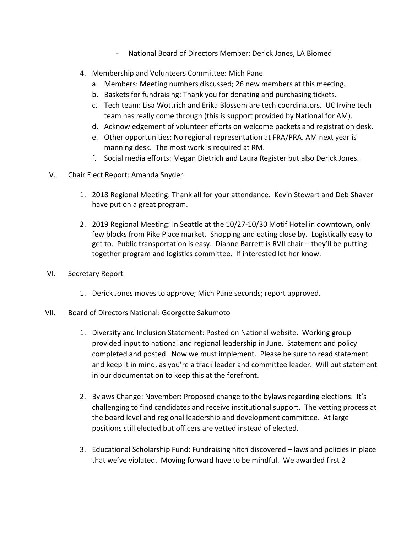- National Board of Directors Member: Derick Jones, LA Biomed
- 4. Membership and Volunteers Committee: Mich Pane
	- a. Members: Meeting numbers discussed; 26 new members at this meeting.
	- b. Baskets for fundraising: Thank you for donating and purchasing tickets.
	- c. Tech team: Lisa Wottrich and Erika Blossom are tech coordinators. UC Irvine tech team has really come through (this is support provided by National for AM).
	- d. Acknowledgement of volunteer efforts on welcome packets and registration desk.
	- e. Other opportunities: No regional representation at FRA/PRA. AM next year is manning desk. The most work is required at RM.
	- f. Social media efforts: Megan Dietrich and Laura Register but also Derick Jones.
- V. Chair Elect Report: Amanda Snyder
	- 1. 2018 Regional Meeting: Thank all for your attendance. Kevin Stewart and Deb Shaver have put on a great program.
	- 2. 2019 Regional Meeting: In Seattle at the 10/27-10/30 Motif Hotel in downtown, only few blocks from Pike Place market. Shopping and eating close by. Logistically easy to get to. Public transportation is easy. Dianne Barrett is RVII chair – they'll be putting together program and logistics committee. If interested let her know.
- VI. Secretary Report
	- 1. Derick Jones moves to approve; Mich Pane seconds; report approved.
- VII. Board of Directors National: Georgette Sakumoto
	- 1. Diversity and Inclusion Statement: Posted on National website. Working group provided input to national and regional leadership in June. Statement and policy completed and posted. Now we must implement. Please be sure to read statement and keep it in mind, as you're a track leader and committee leader. Will put statement in our documentation to keep this at the forefront.
	- 2. Bylaws Change: November: Proposed change to the bylaws regarding elections. It's challenging to find candidates and receive institutional support. The vetting process at the board level and regional leadership and development committee. At large positions still elected but officers are vetted instead of elected.
	- 3. Educational Scholarship Fund: Fundraising hitch discovered laws and policies in place that we've violated. Moving forward have to be mindful. We awarded first 2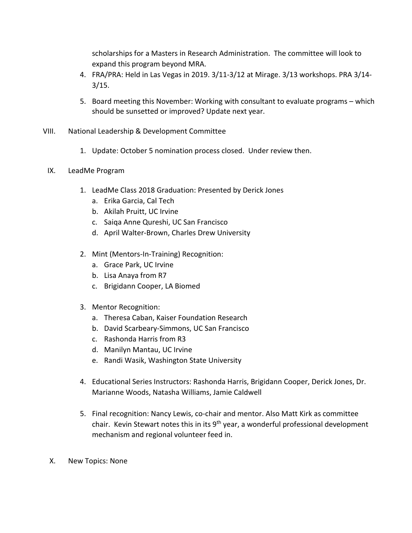scholarships for a Masters in Research Administration. The committee will look to expand this program beyond MRA.

- 4. FRA/PRA: Held in Las Vegas in 2019. 3/11-3/12 at Mirage. 3/13 workshops. PRA 3/14- 3/15.
- 5. Board meeting this November: Working with consultant to evaluate programs which should be sunsetted or improved? Update next year.
- VIII. National Leadership & Development Committee
	- 1. Update: October 5 nomination process closed. Under review then.
	- IX. LeadMe Program
		- 1. LeadMe Class 2018 Graduation: Presented by Derick Jones
			- a. Erika Garcia, Cal Tech
			- b. Akilah Pruitt, UC Irvine
			- c. Saiqa Anne Qureshi, UC San Francisco
			- d. April Walter-Brown, Charles Drew University
		- 2. Mint (Mentors-In-Training) Recognition:
			- a. Grace Park, UC Irvine
			- b. Lisa Anaya from R7
			- c. Brigidann Cooper, LA Biomed
		- 3. Mentor Recognition:
			- a. Theresa Caban, Kaiser Foundation Research
			- b. David Scarbeary-Simmons, UC San Francisco
			- c. Rashonda Harris from R3
			- d. Manilyn Mantau, UC Irvine
			- e. Randi Wasik, Washington State University
		- 4. Educational Series Instructors: Rashonda Harris, Brigidann Cooper, Derick Jones, Dr. Marianne Woods, Natasha Williams, Jamie Caldwell
		- 5. Final recognition: Nancy Lewis, co-chair and mentor. Also Matt Kirk as committee chair. Kevin Stewart notes this in its 9<sup>th</sup> year, a wonderful professional development mechanism and regional volunteer feed in.
	- X. New Topics: None